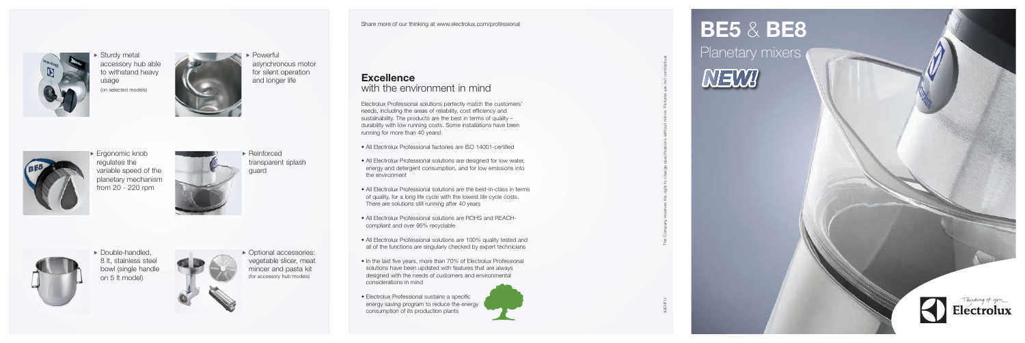

**Sturdy metal** accessory hub able to withstand heavy usage (on selected models)





 $\blacktriangleright$  Ergonomic knob regulates the variable speed of the planetary mechanism from 20 - 220 rpm





• Double-handled, 8 lt, stainless steel bowl (single handle on 5 lt model)



 $\blacktriangleright$  Powerful asynchronous motor for silent operation and longer life

 $\triangleright$  Optional accessories: vegetable slicer, meat mincer and pasta kit (for accessory hub models)

 $\blacktriangleright$  Reinforced transparent splash guard





9JEHFU The Company reserves the right to change specifications without notice. Pictures are not contractual.





Electrolux Professional solutions perfectly match the customers' needs, including the areas of reliability, cost efficiency and sustainability. The products are the best in terms of quality – durability with low running costs. Some installations have been running for more than 40 years!

- All Electrolux Professional factories are ISO 14001-certified
- All Electrolux Professional solutions are designed for low water, energy and detergent consumption, and for low emissions into the environment
- All Electrolux Professional solutions are the best-in-class in terms of quality, for a long life cycle with the lowest life cycle costs. There are solutions still running after 40 years
- All Electrolux Professional solutions are ROHS and REACHcompliant and over 95% recyclable
- All Electrolux Professional solutions are 100% quality tested and all of the functions are singularly checked by expert technicians
- In the last five years, more than 70% of Electrolux Professional solutions have been updated with features that are always designed with the needs of customers and environmental considerations in mind
- Electrolux Professional sustains a specific energy saving program to reduce the energy consumption of its production plants